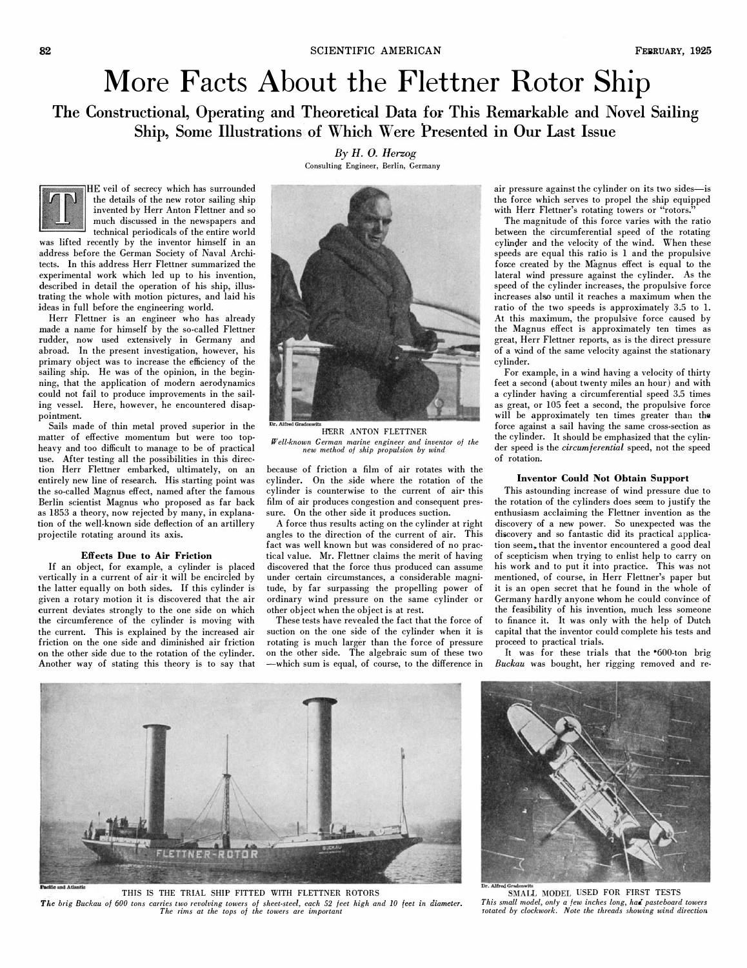# More Facts About the Flettner Rotor Ship

The Constructional, Operating and Theoretical Data for This Remarkable and Novel Sailing Ship, Some Illustrations of Which Were Presented in Our Last Issue



HE veil of secrecy which has surrounded the details of the new rotor sailing ship invented by Herr Anton Flettner and so much discussed in the newspapers and technical periodicals of the entire world

was lifted recently by the inventor himself in an address before the German Society of Naval Archi· tects. In this address Herr Flettner summarized the experimental work which led up to his invention, described in detail the operation of his ship, illus· trating the whole with motion pictures, and laid his ideas in full before the engineering world.

Herr Flettner is an engineer who has already made a name for himself by the so-called Flettner rudder, now used extensively in Germany and abroad. In the present investigation, however, his primary object was to increase the efficiency of the sailing ship. He was of the opinion, in the beginning, that the application of modern aerodynamics could not fail to produce improvements in the sailing vessel. Here, however, he encountered disappointment.

Sails made of thin metal proved superior in the matter of effective momentum but were too topheavy and too difficult to manage to be of practical use. After testing all the possibilities in this direction Herr Flettner embarked, ultimately, on an entirely new line of research. His starting point was the so-called Magnus effect, named after the famous Berlin scientist Magnus who proposed as far back as 1853 a theory, now rejected by many, in explanation of the well-known side deflection of an artillery projectile rotating around its axis.

### Effects Due to Air Friction

If an object, for example, a cylinder is placed vertically in a current of air -it will be encircled by the latter equally on both sides. If this cylinder is given a rotary motion it is discovered that the air current deviates strongly to the one side on which the circumference of the cylinder is moving with the current. This is explained by the increased air friction on the one side and diminished air friction on the other side due to the rotation of the cylinder. Another way of stating this theory is to say that

By H. O. Herzog Consulting Engineer, Berlin, Germany



HERR ANTON FLETTNER If' ell-known German marine engineer and inventor of the new method of ship propulsion by wind

because of friction a film of air rotates with the cylinder. On the side where the rotation of the cylinder is counterwise to the current of air- this film of air produces congestion and consequent pressure. On the other side it produces suction.

A force thus results acting on the cylinder at right angles to the direction of the current of air. This fact was well known but was considered of no practical value. Mr. Flettner claims the merit of having discovered that the force thus produced can assume under certain circumstances, a considerable magnitude, by far surpassing the propelling power of ordinary wind pressure on the same cylinder or other object when the object is at rest.

These tests have revealed the fact that the force of suction on the one side of the cylinder when it is rotating is much larger than the force of pressure on the other side. The algebraic sum of these two -which sum is equal, of course, to the difference in

air pressure against the cylinder on its two sides-is the force which serves to propel the ship equipped with Herr Flettner's rotating towers or "rotors."

The magnitude of this force varies with the ratio between the circumferential speed of the rotating cylinder and the velocity of the wind. When these speeds are equal this ratio is 1 and the propulsive force created by the Magnus effect is equal to the lateral wind pressure against the cylinder. As the speed of the cylinder increases, the propulsive force increases also until it reaches a maximum when the ratio of the two speeds is approximately 3.5 to l. At this maximum, the propulsive force caused by the Magnus effect is approximately ten times as great, Herr Flettner reports, as is the direct pressure of a w.ind of the same velocity against the stationary cylinder.

For example, in a wind having a velocity of thirty feet a second (about twenty miles an hour) and with a cylinder having a circumferential speed 3.5 times as great, or 105 feet a second, the propulsive force will be approximately ten times greater than the force against a sail having the same cross-section as the cylinder. It should be emphasized that the cylinder speed is the *circumferential* speed, not the speed of rotation.

# Inventor Could Not Obtain Support

This astounding increase of wind pressure due to the rotation of the cylinders does seem to justify the enthusiasm acclaiming the Flettner invention as the discovery of a new power. So unexpected was the discovery and so fantastic did its practical application seem, that the inventor encountered a good deal of scepticism when trying to enlist help to carry on his work and to put it into practice. This was not mentioned, of course, in Herr Flettner's paper but it is an open secret that he found in the whole of Germany hardly anyone whom he could convince of the feasibility of his invention, much less someone to finance it. It was only with the help of Dutch capital that the inventor could complete his tests and proceed to practical trials.

It was for these trials that the  $600$ -ton brig Buckau was bought, her rigging removed and re-



THIS IS THE TRIAL SHIP FITTED WITH FLETTNER ROTORS The brig Buckau 0/600 tons carries two revolving towers 0/ sheet-steel, each 52 feet high and 10 feet in diameter. The rims at the tops of the towers are important



SMALL MODEL USED FOR FIRST TESTS This small model, only a few inches long, had pasteboard towers rotated by clockwork. Note the threads showing wind direction